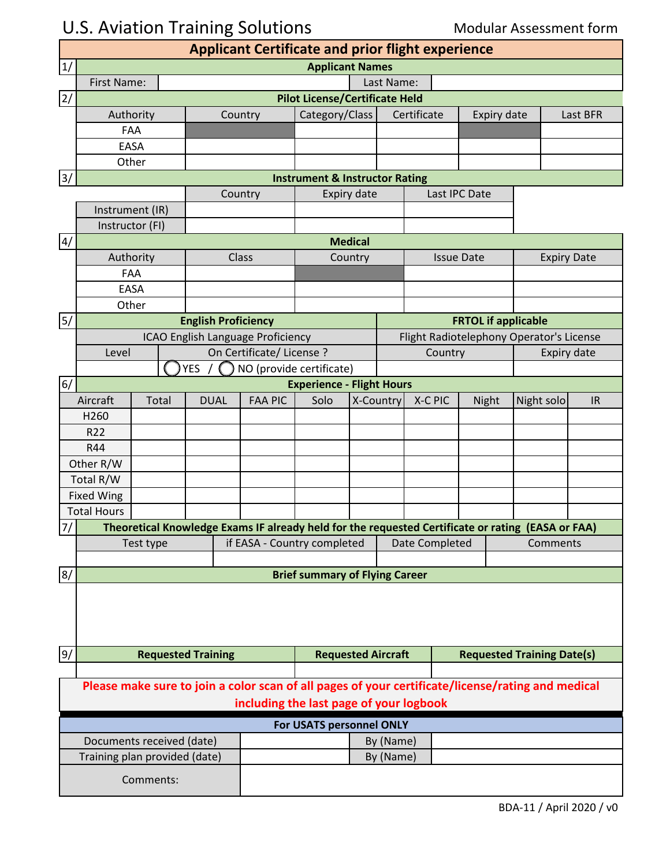# U.S. Aviation Training Solutions **Modular Assessment form**

| <b>Applicant Certificate and prior flight experience</b>                                                                                     |                                  |                           |                                       |                             |                                           |                      |                                   |                            |                    |                                          |                    |          |  |  |
|----------------------------------------------------------------------------------------------------------------------------------------------|----------------------------------|---------------------------|---------------------------------------|-----------------------------|-------------------------------------------|----------------------|-----------------------------------|----------------------------|--------------------|------------------------------------------|--------------------|----------|--|--|
| 1/                                                                                                                                           | <b>Applicant Names</b>           |                           |                                       |                             |                                           |                      |                                   |                            |                    |                                          |                    |          |  |  |
|                                                                                                                                              | First Name:                      |                           | Last Name:                            |                             |                                           |                      |                                   |                            |                    |                                          |                    |          |  |  |
| $\overline{2/}$                                                                                                                              |                                  |                           | <b>Pilot License/Certificate Held</b> |                             |                                           |                      |                                   |                            |                    |                                          |                    |          |  |  |
|                                                                                                                                              | Authority<br>Country             |                           |                                       |                             | Category/Class                            | Certificate          |                                   |                            | <b>Expiry date</b> |                                          |                    | Last BFR |  |  |
|                                                                                                                                              | FAA                              |                           |                                       |                             |                                           |                      |                                   |                            |                    |                                          |                    |          |  |  |
|                                                                                                                                              | EASA                             |                           |                                       |                             |                                           |                      |                                   |                            |                    |                                          |                    |          |  |  |
|                                                                                                                                              | Other                            |                           |                                       |                             |                                           |                      |                                   |                            |                    |                                          |                    |          |  |  |
| 3/                                                                                                                                           |                                  |                           |                                       |                             | <b>Instrument &amp; Instructor Rating</b> |                      |                                   |                            |                    |                                          |                    |          |  |  |
| Country                                                                                                                                      |                                  |                           |                                       | Expiry date                 |                                           |                      |                                   | Last IPC Date              |                    |                                          |                    |          |  |  |
|                                                                                                                                              | Instrument (IR)                  |                           |                                       |                             |                                           |                      |                                   |                            |                    |                                          |                    |          |  |  |
|                                                                                                                                              | Instructor (FI)                  |                           |                                       |                             |                                           |                      |                                   |                            |                    |                                          |                    |          |  |  |
| 4/                                                                                                                                           |                                  |                           |                                       |                             |                                           | <b>Medical</b>       |                                   |                            |                    |                                          |                    |          |  |  |
|                                                                                                                                              | Authority                        |                           |                                       | Class                       | Country                                   |                      |                                   | <b>Issue Date</b>          |                    |                                          | <b>Expiry Date</b> |          |  |  |
|                                                                                                                                              | FAA                              |                           |                                       |                             |                                           |                      |                                   |                            |                    |                                          |                    |          |  |  |
|                                                                                                                                              | <b>EASA</b>                      |                           |                                       |                             |                                           |                      |                                   |                            |                    |                                          |                    |          |  |  |
|                                                                                                                                              | Other                            |                           |                                       |                             |                                           |                      |                                   |                            |                    |                                          |                    |          |  |  |
| 5/                                                                                                                                           |                                  |                           | <b>English Proficiency</b>            |                             |                                           |                      |                                   | <b>FRTOL if applicable</b> |                    |                                          |                    |          |  |  |
|                                                                                                                                              |                                  |                           | ICAO English Language Proficiency     |                             |                                           |                      |                                   |                            |                    | Flight Radiotelephony Operator's License |                    |          |  |  |
|                                                                                                                                              | Level                            |                           |                                       | On Certificate/License?     |                                           | Country              |                                   |                            |                    | Expiry date                              |                    |          |  |  |
|                                                                                                                                              | <b>YES</b>                       |                           |                                       | NO (provide certificate)    |                                           |                      |                                   |                            |                    |                                          |                    |          |  |  |
| 6/                                                                                                                                           | <b>Experience - Flight Hours</b> |                           |                                       |                             |                                           |                      |                                   |                            |                    |                                          |                    |          |  |  |
|                                                                                                                                              | Aircraft<br>Total<br><b>DUAL</b> |                           |                                       | <b>FAA PIC</b>              |                                           | X-Country<br>X-C PIC |                                   |                            | Night              |                                          | Night solo         | IR       |  |  |
| H <sub>260</sub>                                                                                                                             |                                  |                           |                                       |                             | Solo                                      |                      |                                   |                            |                    |                                          |                    |          |  |  |
| R <sub>22</sub>                                                                                                                              |                                  |                           |                                       |                             |                                           |                      |                                   |                            |                    |                                          |                    |          |  |  |
| R44                                                                                                                                          |                                  |                           |                                       |                             |                                           |                      |                                   |                            |                    |                                          |                    |          |  |  |
| Other R/W                                                                                                                                    |                                  |                           |                                       |                             |                                           |                      |                                   |                            |                    |                                          |                    |          |  |  |
| Total R/W                                                                                                                                    |                                  |                           |                                       |                             |                                           |                      |                                   |                            |                    |                                          |                    |          |  |  |
| <b>Fixed Wing</b>                                                                                                                            |                                  |                           |                                       |                             |                                           |                      |                                   |                            |                    |                                          |                    |          |  |  |
|                                                                                                                                              | <b>Total Hours</b>               |                           |                                       |                             |                                           |                      |                                   |                            |                    |                                          |                    |          |  |  |
| 7/ <br>Theoretical Knowledge Exams IF already held for the requested Certificate or rating (EASA or FAA)                                     |                                  |                           |                                       |                             |                                           |                      |                                   |                            |                    |                                          |                    |          |  |  |
|                                                                                                                                              | Test type                        |                           |                                       | if EASA - Country completed |                                           |                      |                                   | Date Completed             |                    |                                          |                    | Comments |  |  |
|                                                                                                                                              |                                  |                           |                                       |                             |                                           |                      |                                   |                            |                    |                                          |                    |          |  |  |
| 8/                                                                                                                                           |                                  |                           |                                       |                             | <b>Brief summary of Flying Career</b>     |                      |                                   |                            |                    |                                          |                    |          |  |  |
|                                                                                                                                              |                                  |                           |                                       |                             |                                           |                      |                                   |                            |                    |                                          |                    |          |  |  |
| 9/                                                                                                                                           |                                  |                           | <b>Requested Aircraft</b>             |                             |                                           |                      | <b>Requested Training Date(s)</b> |                            |                    |                                          |                    |          |  |  |
|                                                                                                                                              |                                  |                           |                                       |                             |                                           |                      |                                   |                            |                    |                                          |                    |          |  |  |
| Please make sure to join a color scan of all pages of your certificate/license/rating and medical<br>including the last page of your logbook |                                  |                           |                                       |                             |                                           |                      |                                   |                            |                    |                                          |                    |          |  |  |
|                                                                                                                                              |                                  |                           |                                       |                             | For USATS personnel ONLY                  |                      |                                   |                            |                    |                                          |                    |          |  |  |
|                                                                                                                                              |                                  | Documents received (date) |                                       |                             |                                           | By (Name)            |                                   |                            |                    |                                          |                    |          |  |  |
|                                                                                                                                              | Training plan provided (date)    |                           |                                       |                             |                                           |                      | By (Name)                         |                            |                    |                                          |                    |          |  |  |
|                                                                                                                                              |                                  | Comments:                 |                                       |                             |                                           |                      |                                   |                            |                    |                                          |                    |          |  |  |